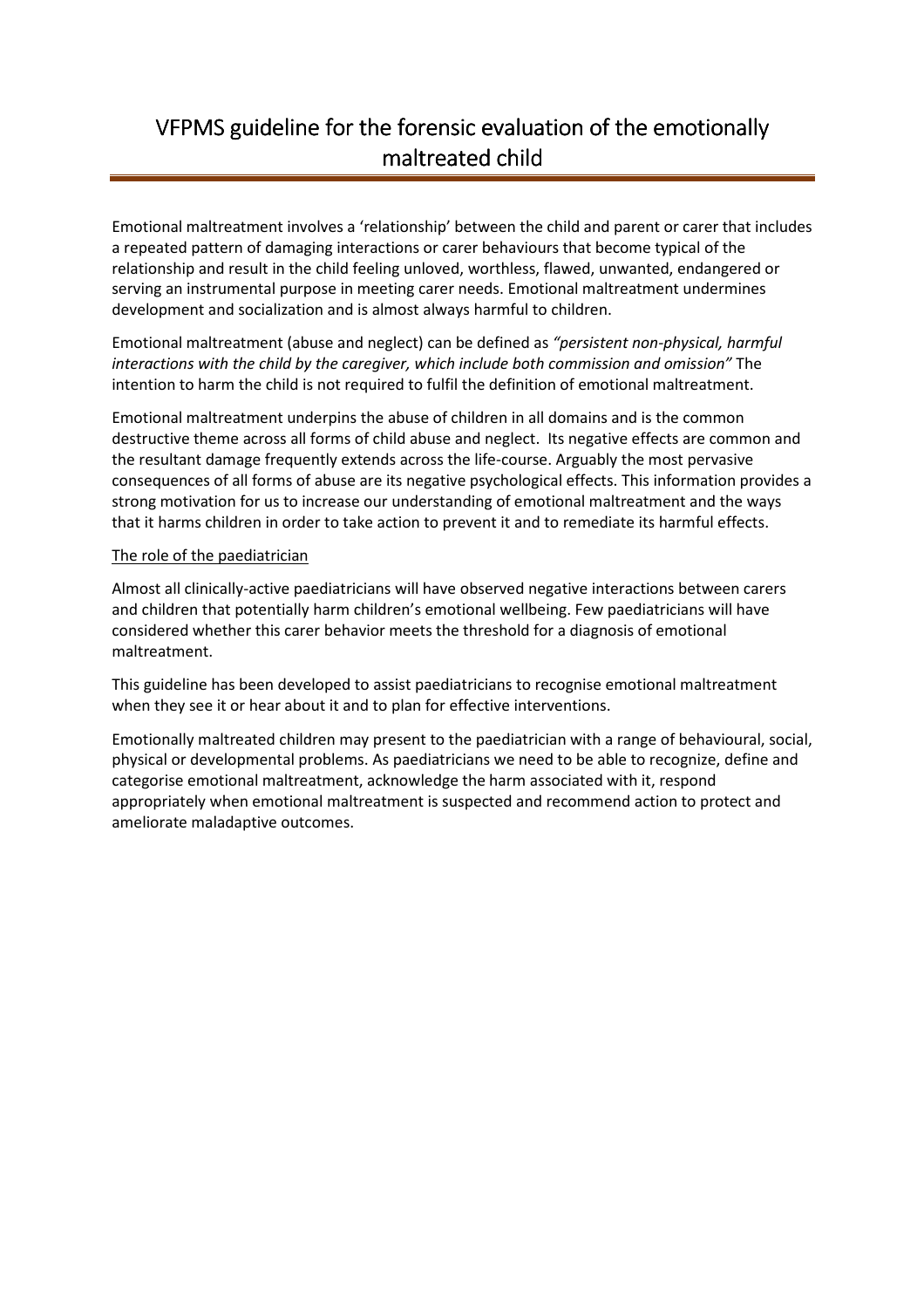# VFPMS guideline for the forensic evaluation of the emotionally maltreated child

Emotional maltreatment involves a 'relationship' between the child and parent or carer that includes a repeated pattern of damaging interactions or carer behaviours that become typical of the relationship and result in the child feeling unloved, worthless, flawed, unwanted, endangered or serving an instrumental purpose in meeting carer needs. Emotional maltreatment undermines development and socialization and is almost always harmful to children.

Emotional maltreatment (abuse and neglect) can be defined as "persistent non-physical, harmful interactions with the child by the caregiver, which include both commission and omission" The intention to harm the child is not required to fulfil the definition of emotional maltreatment.

Emotional maltreatment underpins the abuse of children in all domains and is the common destructive theme across all forms of child abuse and neglect. Its negative effects are common and the resultant damage frequently extends across the life-course. Arguably the most pervasive consequences of all forms of abuse are its negative psychological effects. This information provides a strong motivation for us to increase our understanding of emotional maltreatment and the ways that it harms children in order to take action to prevent it and to remediate its harmful effects.

#### The role of the paediatrician

Almost all clinically-active paediatricians will have observed negative interactions between carers and children that potentially harm children's emotional wellbeing. Few paediatricians will have considered whether this carer behavior meets the threshold for a diagnosis of emotional maltreatment.

This guideline has been developed to assist paediatricians to recognise emotional maltreatment when they see it or hear about it and to plan for effective interventions.

Emotionally maltreated children may present to the paediatrician with a range of behavioural, social, physical or developmental problems. As paediatricians we need to be able to recognize, define and categorise emotional maltreatment, acknowledge the harm associated with it, respond appropriately when emotional maltreatment is suspected and recommend action to protect and ameliorate maladaptive outcomes.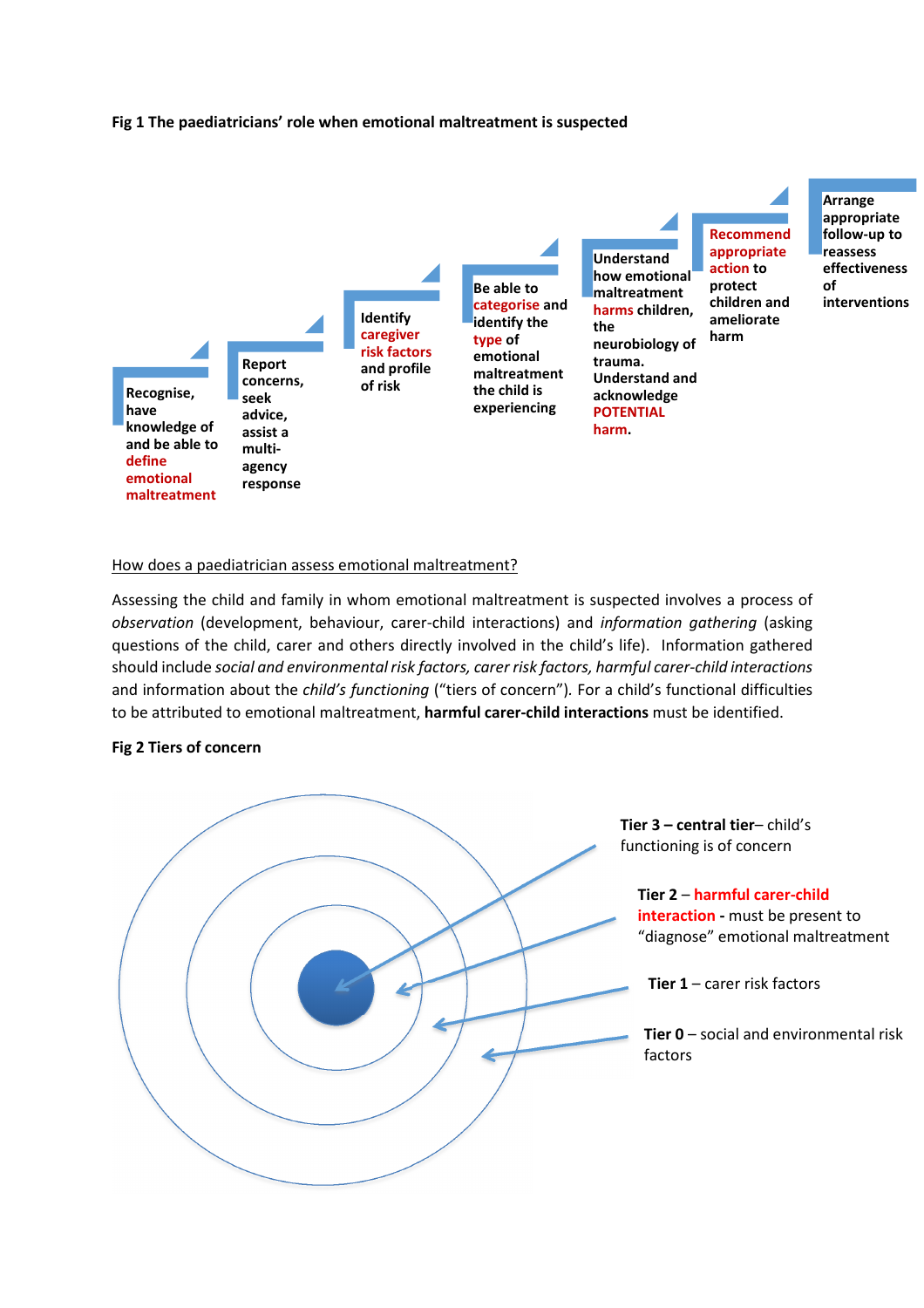#### Fig 1 The paediatricians' role when emotional maltreatment is suspected



#### How does a paediatrician assess emotional maltreatment?

Assessing the child and family in whom emotional maltreatment is suspected involves a process of observation (development, behaviour, carer-child interactions) and information gathering (asking questions of the child, carer and others directly involved in the child's life). Information gathered should include social and environmental risk factors, carer risk factors, harmful carer-child interactions and information about the child's functioning ("tiers of concern"). For a child's functional difficulties to be attributed to emotional maltreatment, harmful carer-child interactions must be identified.

#### Fig 2 Tiers of concern

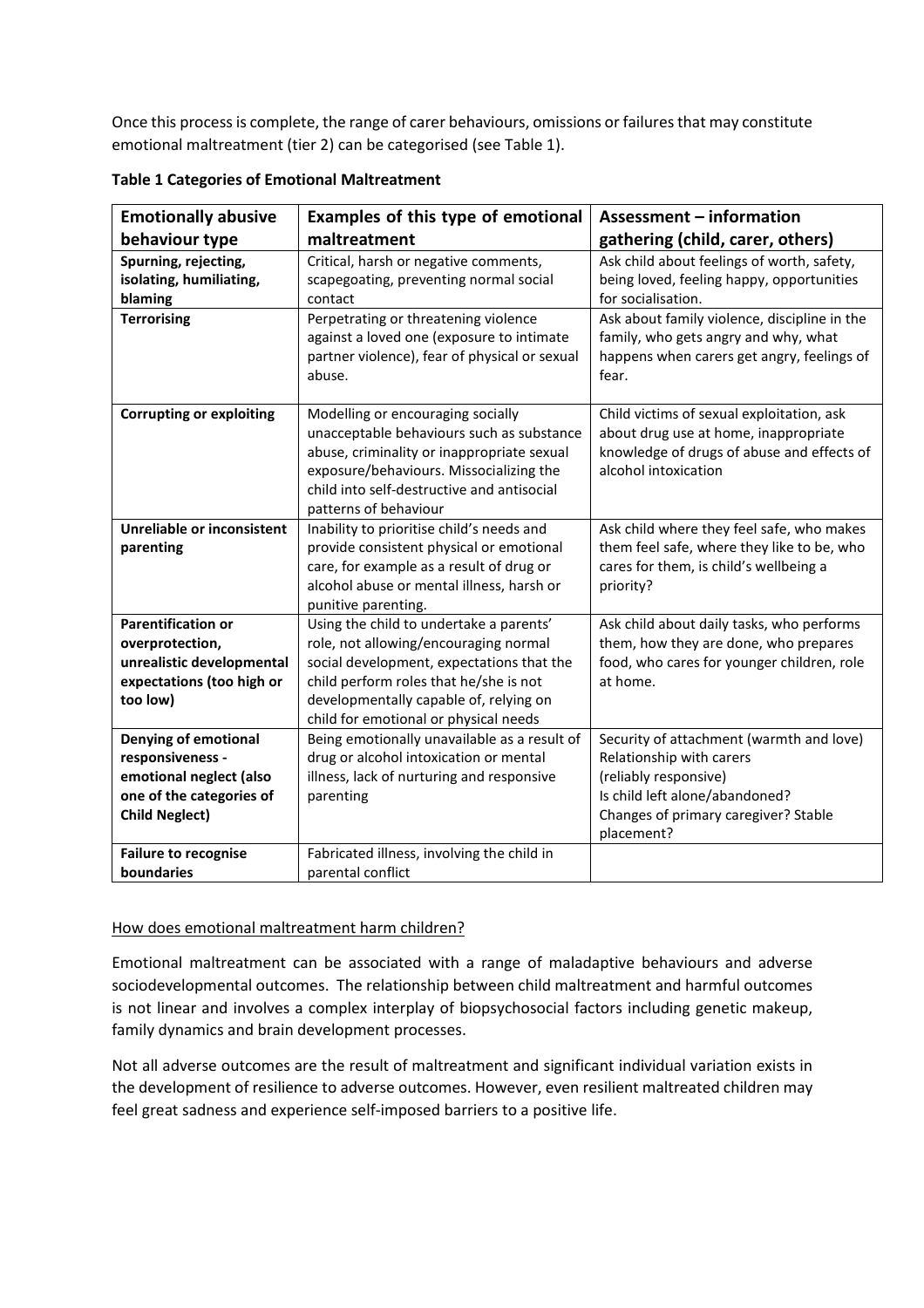Once this process is complete, the range of carer behaviours, omissions or failures that may constitute emotional maltreatment (tier 2) can be categorised (see Table 1).

| <b>Emotionally abusive</b>                                                                                                      | Examples of this type of emotional                                                                                                                                                                                                                         | Assessment - information                                                                                                                                                              |
|---------------------------------------------------------------------------------------------------------------------------------|------------------------------------------------------------------------------------------------------------------------------------------------------------------------------------------------------------------------------------------------------------|---------------------------------------------------------------------------------------------------------------------------------------------------------------------------------------|
| behaviour type                                                                                                                  | maltreatment                                                                                                                                                                                                                                               | gathering (child, carer, others)                                                                                                                                                      |
| Spurning, rejecting,<br>isolating, humiliating,<br>blaming                                                                      | Critical, harsh or negative comments,<br>scapegoating, preventing normal social<br>contact                                                                                                                                                                 | Ask child about feelings of worth, safety,<br>being loved, feeling happy, opportunities<br>for socialisation.                                                                         |
| <b>Terrorising</b>                                                                                                              | Perpetrating or threatening violence<br>against a loved one (exposure to intimate<br>partner violence), fear of physical or sexual<br>abuse.                                                                                                               | Ask about family violence, discipline in the<br>family, who gets angry and why, what<br>happens when carers get angry, feelings of<br>fear.                                           |
| <b>Corrupting or exploiting</b>                                                                                                 | Modelling or encouraging socially<br>unacceptable behaviours such as substance<br>abuse, criminality or inappropriate sexual<br>exposure/behaviours. Missocializing the<br>child into self-destructive and antisocial<br>patterns of behaviour             | Child victims of sexual exploitation, ask<br>about drug use at home, inappropriate<br>knowledge of drugs of abuse and effects of<br>alcohol intoxication                              |
| Unreliable or inconsistent<br>parenting                                                                                         | Inability to prioritise child's needs and<br>provide consistent physical or emotional<br>care, for example as a result of drug or<br>alcohol abuse or mental illness, harsh or<br>punitive parenting.                                                      | Ask child where they feel safe, who makes<br>them feel safe, where they like to be, who<br>cares for them, is child's wellbeing a<br>priority?                                        |
| <b>Parentification or</b><br>overprotection,<br>unrealistic developmental<br>expectations (too high or<br>too low)              | Using the child to undertake a parents'<br>role, not allowing/encouraging normal<br>social development, expectations that the<br>child perform roles that he/she is not<br>developmentally capable of, relying on<br>child for emotional or physical needs | Ask child about daily tasks, who performs<br>them, how they are done, who prepares<br>food, who cares for younger children, role<br>at home.                                          |
| <b>Denying of emotional</b><br>responsiveness -<br>emotional neglect (also<br>one of the categories of<br><b>Child Neglect)</b> | Being emotionally unavailable as a result of<br>drug or alcohol intoxication or mental<br>illness, lack of nurturing and responsive<br>parenting                                                                                                           | Security of attachment (warmth and love)<br>Relationship with carers<br>(reliably responsive)<br>Is child left alone/abandoned?<br>Changes of primary caregiver? Stable<br>placement? |
| <b>Failure to recognise</b><br>boundaries                                                                                       | Fabricated illness, involving the child in<br>parental conflict                                                                                                                                                                                            |                                                                                                                                                                                       |

|  |  | <b>Table 1 Categories of Emotional Maltreatment</b> |
|--|--|-----------------------------------------------------|
|  |  |                                                     |

## How does emotional maltreatment harm children?

Emotional maltreatment can be associated with a range of maladaptive behaviours and adverse sociodevelopmental outcomes. The relationship between child maltreatment and harmful outcomes is not linear and involves a complex interplay of biopsychosocial factors including genetic makeup, family dynamics and brain development processes.

Not all adverse outcomes are the result of maltreatment and significant individual variation exists in the development of resilience to adverse outcomes. However, even resilient maltreated children may feel great sadness and experience self-imposed barriers to a positive life.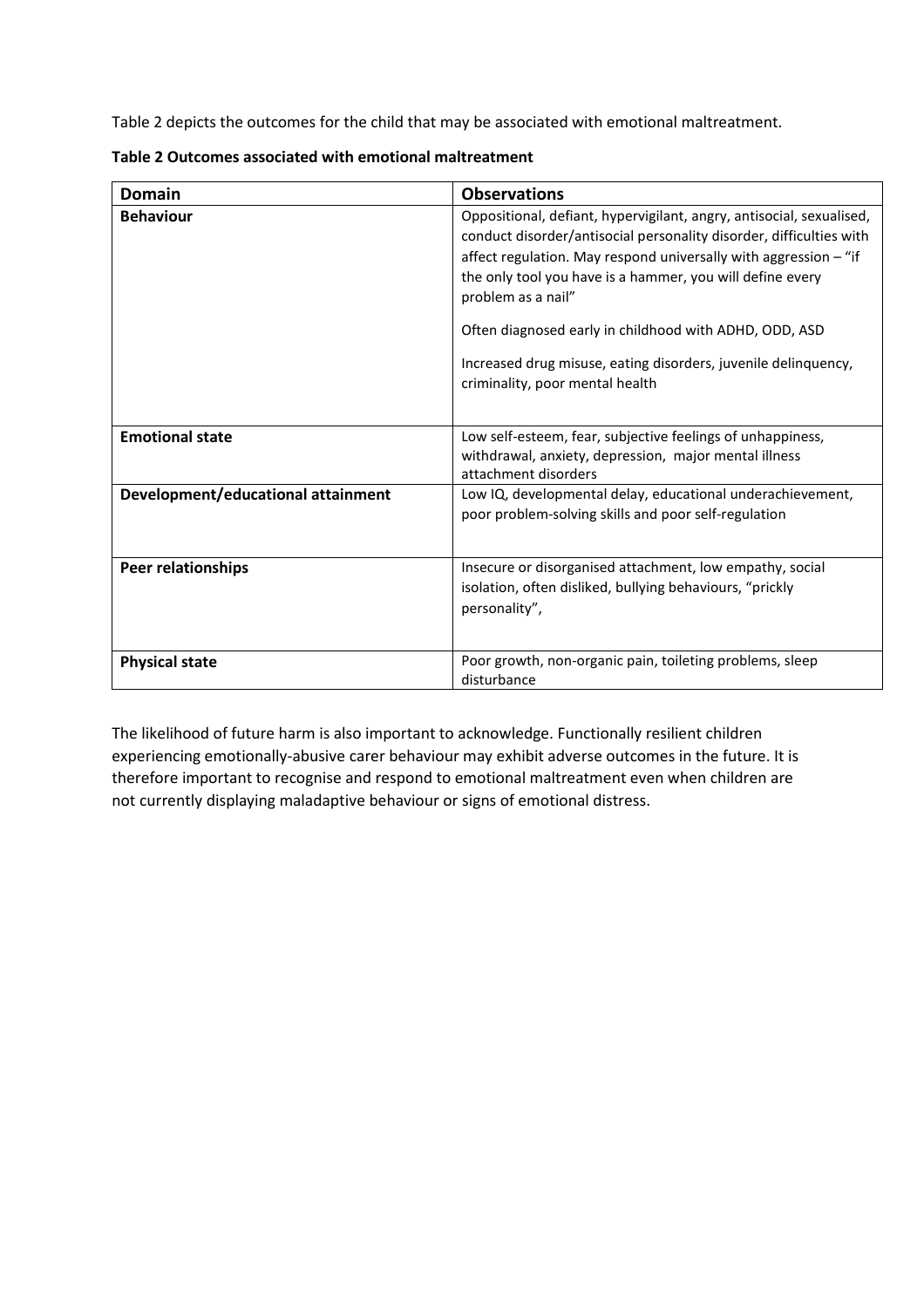Table 2 depicts the outcomes for the child that may be associated with emotional maltreatment.

| <b>Domain</b>                      | <b>Observations</b>                                                                                                                                                                                                                                                                                                                                                                                                                                               |
|------------------------------------|-------------------------------------------------------------------------------------------------------------------------------------------------------------------------------------------------------------------------------------------------------------------------------------------------------------------------------------------------------------------------------------------------------------------------------------------------------------------|
| <b>Behaviour</b>                   | Oppositional, defiant, hypervigilant, angry, antisocial, sexualised,<br>conduct disorder/antisocial personality disorder, difficulties with<br>affect regulation. May respond universally with aggression - "if<br>the only tool you have is a hammer, you will define every<br>problem as a nail"<br>Often diagnosed early in childhood with ADHD, ODD, ASD<br>Increased drug misuse, eating disorders, juvenile delinquency,<br>criminality, poor mental health |
| <b>Emotional state</b>             | Low self-esteem, fear, subjective feelings of unhappiness,<br>withdrawal, anxiety, depression, major mental illness                                                                                                                                                                                                                                                                                                                                               |
| Development/educational attainment | attachment disorders<br>Low IQ, developmental delay, educational underachievement,<br>poor problem-solving skills and poor self-regulation                                                                                                                                                                                                                                                                                                                        |
| <b>Peer relationships</b>          | Insecure or disorganised attachment, low empathy, social<br>isolation, often disliked, bullying behaviours, "prickly<br>personality",                                                                                                                                                                                                                                                                                                                             |
| <b>Physical state</b>              | Poor growth, non-organic pain, toileting problems, sleep<br>disturbance                                                                                                                                                                                                                                                                                                                                                                                           |

| Table 2 Outcomes associated with emotional maltreatment |  |  |  |  |  |  |
|---------------------------------------------------------|--|--|--|--|--|--|
|---------------------------------------------------------|--|--|--|--|--|--|

The likelihood of future harm is also important to acknowledge. Functionally resilient children experiencing emotionally-abusive carer behaviour may exhibit adverse outcomes in the future. It is therefore important to recognise and respond to emotional maltreatment even when children are not currently displaying maladaptive behaviour or signs of emotional distress.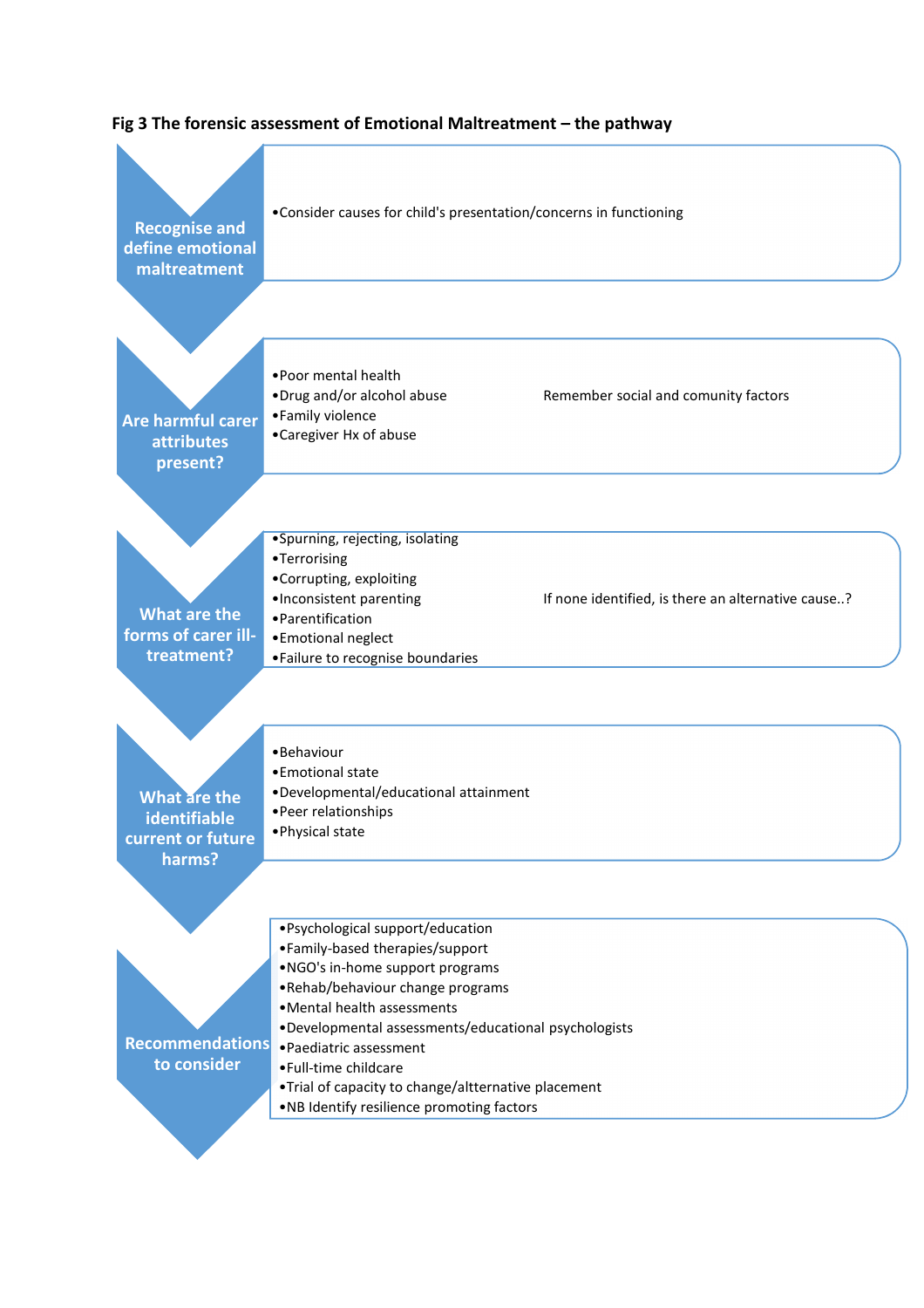

## Fig 3 The forensic assessment of Emotional Maltreatment – the pathway